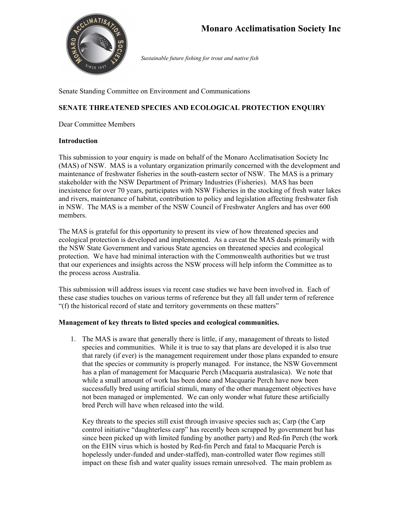

*Sustainable future fishing for trout and native fish*

Senate Standing Committee on Environment and Communications

# **SENATE THREATENED SPECIES AND ECOLOGICAL PROTECTION ENQUIRY**

Dear Committee Members

### **Introduction**

This submission to your enquiry is made on behalf of the Monaro Acclimatisation Society Inc (MAS) of NSW. MAS is a voluntary organization primarily concerned with the development and maintenance of freshwater fisheries in the south-eastern sector of NSW. The MAS is a primary stakeholder with the NSW Department of Primary Industries (Fisheries). MAS has been inexistence for over 70 years, participates with NSW Fisheries in the stocking of fresh water lakes and rivers, maintenance of habitat, contribution to policy and legislation affecting freshwater fish in NSW. The MAS is a member of the NSW Council of Freshwater Anglers and has over 600 members.

The MAS is grateful for this opportunity to present its view of how threatened species and ecological protection is developed and implemented. As a caveat the MAS deals primarily with the NSW State Government and various State agencies on threatened species and ecological protection. We have had minimal interaction with the Commonwealth authorities but we trust that our experiences and insights across the NSW process will help inform the Committee as to the process across Australia.

This submission will address issues via recent case studies we have been involved in. Each of these case studies touches on various terms of reference but they all fall under term of reference "(f) the historical record of state and territory governments on these matters"

### **Management of key threats to listed species and ecological communities.**

1. The MAS is aware that generally there is little, if any, management of threats to listed species and communities. While it is true to say that plans are developed it is also true that rarely (if ever) is the management requirement under those plans expanded to ensure that the species or community is properly managed. For instance, the NSW Government has a plan of management for Macquarie Perch (Macquaria australasica). We note that while a small amount of work has been done and Macquarie Perch have now been successfully bred using artificial stimuli, many of the other management objectives have not been managed or implemented. We can only wonder what future these artificially bred Perch will have when released into the wild.

Key threats to the species still exist through invasive species such as; Carp (the Carp control initiative "daughterless carp" has recently been scrapped by government but has since been picked up with limited funding by another party) and Red-fin Perch (the work on the EHN virus which is hosted by Red-fin Perch and fatal to Macquarie Perch is hopelessly under-funded and under-staffed), man-controlled water flow regimes still impact on these fish and water quality issues remain unresolved. The main problem as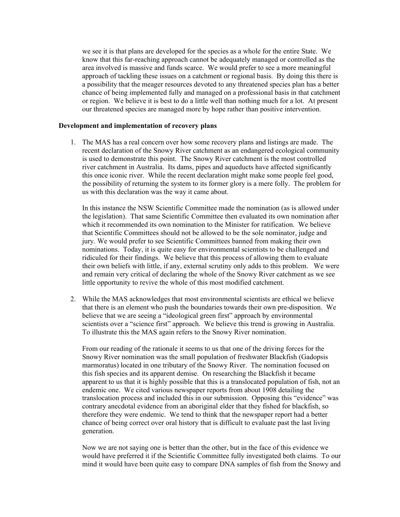we see it is that plans are developed for the species as a whole for the entire State. We know that this far-reaching approach cannot be adequately managed or controlled as the area involved is massive and funds scarce. We would prefer to see a more meaningful approach of tackling these issues on a catchment or regional basis. By doing this there is a possibility that the meager resources devoted to any threatened species plan has a better chance of being implemented fully and managed on a professional basis in that catchment or region. We believe it is best to do a little well than nothing much for a lot. At present our threatened species are managed more by hope rather than positive intervention.

#### **Development and implementation of recovery plans**

1. The MAS has a real concern over how some recovery plans and listings are made. The recent declaration of the Snowy River catchment as an endangered ecological community is used to demonstrate this point. The Snowy River catchment is the most controlled river catchment in Australia. Its dams, pipes and aqueducts have affected significantly this once iconic river. While the recent declaration might make some people feel good, the possibility of returning the system to its former glory is a mere folly. The problem for us with this declaration was the way it came about.

In this instance the NSW Scientific Committee made the nomination (as is allowed under the legislation). That same Scientific Committee then evaluated its own nomination after which it recommended its own nomination to the Minister for ratification. We believe that Scientific Committees should not be allowed to be the sole nominator, judge and jury. We would prefer to see Scientific Committees banned from making their own nominations. Today, it is quite easy for environmental scientists to be challenged and ridiculed for their findings. We believe that this process of allowing them to evaluate their own beliefs with little, if any, external scrutiny only adds to this problem. We were and remain very critical of declaring the whole of the Snowy River catchment as we see little opportunity to revive the whole of this most modified catchment.

2. While the MAS acknowledges that most environmental scientists are ethical we believe that there is an element who push the boundaries towards their own pre-disposition. We believe that we are seeing a "ideological green first" approach by environmental scientists over a "science first" approach. We believe this trend is growing in Australia. To illustrate this the MAS again refers to the Snowy River nomination.

From our reading of the rationale it seems to us that one of the driving forces for the Snowy River nomination was the small population of freshwater Blackfish (Gadopsis marmoratus) located in one tributary of the Snowy River. The nomination focused on this fish species and its apparent demise. On researching the Blackfish it became apparent to us that it is highly possible that this is a translocated population of fish, not an endemic one. We cited various newspaper reports from about 1908 detailing the translocation process and included this in our submission. Opposing this "evidence" was contrary anecdotal evidence from an aboriginal elder that they fished for blackfish, so therefore they were endemic. We tend to think that the newspaper report had a better chance of being correct over oral history that is difficult to evaluate past the last living generation.

Now we are not saying one is better than the other, but in the face of this evidence we would have preferred it if the Scientific Committee fully investigated both claims. To our mind it would have been quite easy to compare DNA samples of fish from the Snowy and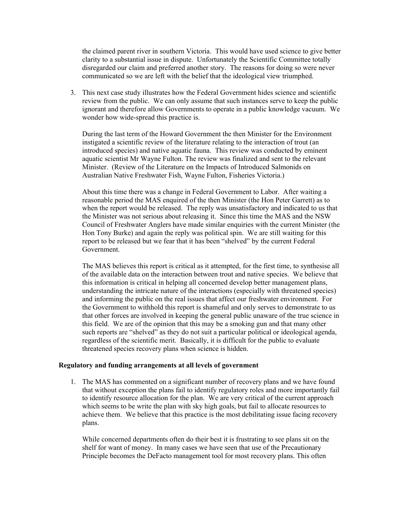the claimed parent river in southern Victoria. This would have used science to give better clarity to a substantial issue in dispute. Unfortunately the Scientific Committee totally disregarded our claim and preferred another story. The reasons for doing so were never communicated so we are left with the belief that the ideological view triumphed.

3. This next case study illustrates how the Federal Government hides science and scientific review from the public. We can only assume that such instances serve to keep the public ignorant and therefore allow Governments to operate in a public knowledge vacuum. We wonder how wide-spread this practice is.

During the last term of the Howard Government the then Minister for the Environment instigated a scientific review of the literature relating to the interaction of trout (an introduced species) and native aquatic fauna. This review was conducted by eminent aquatic scientist Mr Wayne Fulton. The review was finalized and sent to the relevant Minister. (Review of the Literature on the Impacts of Introduced Salmonids on Australian Native Freshwater Fish, Wayne Fulton, Fisheries Victoria.)

About this time there was a change in Federal Government to Labor. After waiting a reasonable period the MAS enquired of the then Minister (the Hon Peter Garrett) as to when the report would be released. The reply was unsatisfactory and indicated to us that the Minister was not serious about releasing it. Since this time the MAS and the NSW Council of Freshwater Anglers have made similar enquiries with the current Minister (the Hon Tony Burke) and again the reply was political spin. We are still waiting for this report to be released but we fear that it has been "shelved" by the current Federal Government.

The MAS believes this report is critical as it attempted, for the first time, to synthesise all of the available data on the interaction between trout and native species. We believe that this information is critical in helping all concerned develop better management plans, understanding the intricate nature of the interactions (especially with threatened species) and informing the public on the real issues that affect our freshwater environment. For the Government to withhold this report is shameful and only serves to demonstrate to us that other forces are involved in keeping the general public unaware of the true science in this field. We are of the opinion that this may be a smoking gun and that many other such reports are "shelved" as they do not suit a particular political or ideological agenda, regardless of the scientific merit. Basically, it is difficult for the public to evaluate threatened species recovery plans when science is hidden.

#### **Regulatory and funding arrangements at all levels of government**

1. The MAS has commented on a significant number of recovery plans and we have found that without exception the plans fail to identify regulatory roles and more importantly fail to identify resource allocation for the plan. We are very critical of the current approach which seems to be write the plan with sky high goals, but fail to allocate resources to achieve them. We believe that this practice is the most debilitating issue facing recovery plans.

While concerned departments often do their best it is frustrating to see plans sit on the shelf for want of money. In many cases we have seen that use of the Precautionary Principle becomes the DeFacto management tool for most recovery plans. This often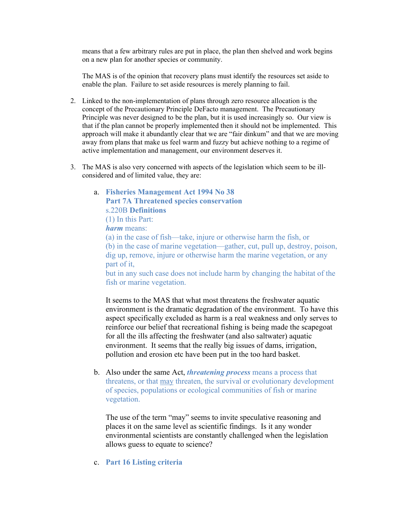means that a few arbitrary rules are put in place, the plan then shelved and work begins on a new plan for another species or community.

The MAS is of the opinion that recovery plans must identify the resources set aside to enable the plan. Failure to set aside resources is merely planning to fail.

- 2. Linked to the non-implementation of plans through zero resource allocation is the concept of the Precautionary Principle DeFacto management. The Precautionary Principle was never designed to be the plan, but it is used increasingly so. Our view is that if the plan cannot be properly implemented then it should not be implemented. This approach will make it abundantly clear that we are "fair dinkum" and that we are moving away from plans that make us feel warm and fuzzy but achieve nothing to a regime of active implementation and management, our environment deserves it.
- 3. The MAS is also very concerned with aspects of the legislation which seem to be illconsidered and of limited value, they are:
	- a. **Fisheries Management Act 1994 No 38 Part 7A Threatened species conservation** s.220B **Definitions** (1) In this Part:

*harm* means:

(a) in the case of fish—take, injure or otherwise harm the fish, or (b) in the case of marine vegetation—gather, cut, pull up, destroy, poison, dig up, remove, injure or otherwise harm the marine vegetation, or any part of it,

but in any such case does not include harm by changing the habitat of the fish or marine vegetation.

It seems to the MAS that what most threatens the freshwater aquatic environment is the dramatic degradation of the environment. To have this aspect specifically excluded as harm is a real weakness and only serves to reinforce our belief that recreational fishing is being made the scapegoat for all the ills affecting the freshwater (and also saltwater) aquatic environment. It seems that the really big issues of dams, irrigation, pollution and erosion etc have been put in the too hard basket.

b. Also under the same Act, *threatening process* means a process that threatens, or that may threaten, the survival or evolutionary development of species, populations or ecological communities of fish or marine vegetation.

The use of the term "may" seems to invite speculative reasoning and places it on the same level as scientific findings. Is it any wonder environmental scientists are constantly challenged when the legislation allows guess to equate to science?

c. **Part 16 Listing criteria**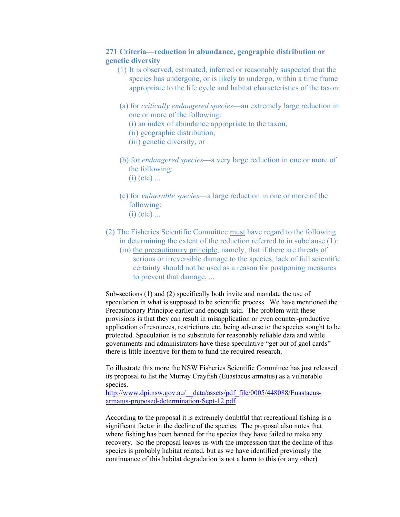## **271 Criteria—reduction in abundance, geographic distribution or genetic diversity**

- (1) It is observed, estimated, inferred or reasonably suspected that the species has undergone, or is likely to undergo, within a time frame appropriate to the life cycle and habitat characteristics of the taxon:
- (a) for *critically endangered species*—an extremely large reduction in one or more of the following:

(i) an index of abundance appropriate to the taxon,

(ii) geographic distribution,

(iii) genetic diversity, or

- (b) for *endangered species*—a very large reduction in one or more of the following:
	- $(i)$  (etc)  $\dots$
- (c) for *vulnerable species*—a large reduction in one or more of the following:  $(i)$  (etc)  $\dots$
- (2) The Fisheries Scientific Committee must have regard to the following in determining the extent of the reduction referred to in subclause (1):
	- (m) the precautionary principle, namely, that if there are threats of serious or irreversible damage to the species, lack of full scientific certainty should not be used as a reason for postponing measures to prevent that damage, ...

Sub-sections (1) and (2) specifically both invite and mandate the use of speculation in what is supposed to be scientific process. We have mentioned the Precautionary Principle earlier and enough said. The problem with these provisions is that they can result in misapplication or even counter-productive application of resources, restrictions etc, being adverse to the species sought to be protected. Speculation is no substitute for reasonably reliable data and while governments and administrators have these speculative "get out of gaol cards" there is little incentive for them to fund the required research.

To illustrate this more the NSW Fisheries Scientific Committee has just released its proposal to list the Murray Crayfish (Euastacus armatus) as a vulnerable species.

http://www.dpi.nsw.gov.au/ data/assets/pdf file/0005/448088/Euastacus[armatus-proposed-determination-Sept-12.pdf](http://www.dpi.nsw.gov.au/__data/assets/pdf_file/0005/448088/Euastacus-armatus-proposed-determination-Sept-12.pdf)

According to the proposal it is extremely doubtful that recreational fishing is a significant factor in the decline of the species. The proposal also notes that where fishing has been banned for the species they have failed to make any recovery. So the proposal leaves us with the impression that the decline of this species is probably habitat related, but as we have identified previously the continuance of this habitat degradation is not a harm to this (or any other)